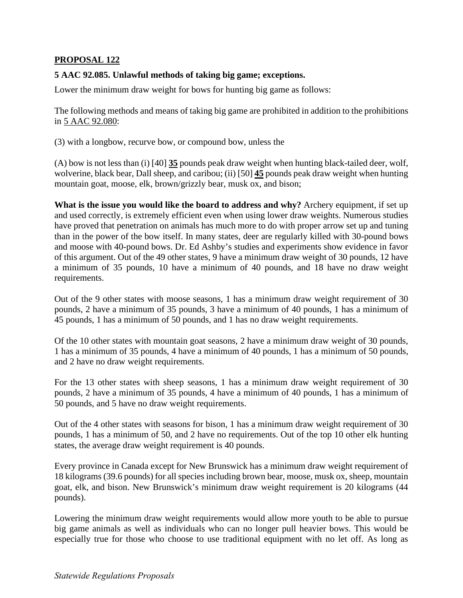## **PROPOSAL 122**

## **5 AAC 92.085. Unlawful methods of taking big game; exceptions.**

Lower the minimum draw weight for bows for hunting big game as follows:

The following methods and means of taking big game are prohibited in addition to the prohibitions in 5 AAC 92.080:

(3) with a longbow, recurve bow, or compound bow, unless the

(A) bow is not less than (i) [40] **35** pounds peak draw weight when hunting black-tailed deer, wolf, wolverine, black bear, Dall sheep, and caribou; (ii) [50] **45** pounds peak draw weight when hunting mountain goat, moose, elk, brown/grizzly bear, musk ox, and bison;

**What is the issue you would like the board to address and why?** Archery equipment, if set up and used correctly, is extremely efficient even when using lower draw weights. Numerous studies have proved that penetration on animals has much more to do with proper arrow set up and tuning than in the power of the bow itself. In many states, deer are regularly killed with 30-pound bows and moose with 40-pound bows. Dr. Ed Ashby's studies and experiments show evidence in favor of this argument. Out of the 49 other states, 9 have a minimum draw weight of 30 pounds, 12 have a minimum of 35 pounds, 10 have a minimum of 40 pounds, and 18 have no draw weight requirements.

Out of the 9 other states with moose seasons, 1 has a minimum draw weight requirement of 30 pounds, 2 have a minimum of 35 pounds, 3 have a minimum of 40 pounds, 1 has a minimum of 45 pounds, 1 has a minimum of 50 pounds, and 1 has no draw weight requirements.

Of the 10 other states with mountain goat seasons, 2 have a minimum draw weight of 30 pounds, 1 has a minimum of 35 pounds, 4 have a minimum of 40 pounds, 1 has a minimum of 50 pounds, and 2 have no draw weight requirements.

For the 13 other states with sheep seasons, 1 has a minimum draw weight requirement of 30 pounds, 2 have a minimum of 35 pounds, 4 have a minimum of 40 pounds, 1 has a minimum of 50 pounds, and 5 have no draw weight requirements.

Out of the 4 other states with seasons for bison, 1 has a minimum draw weight requirement of 30 pounds, 1 has a minimum of 50, and 2 have no requirements. Out of the top 10 other elk hunting states, the average draw weight requirement is 40 pounds.

Every province in Canada except for New Brunswick has a minimum draw weight requirement of 18 kilograms (39.6 pounds) for all species including brown bear, moose, musk ox, sheep, mountain goat, elk, and bison. New Brunswick's minimum draw weight requirement is 20 kilograms (44 pounds).

Lowering the minimum draw weight requirements would allow more youth to be able to pursue big game animals as well as individuals who can no longer pull heavier bows. This would be especially true for those who choose to use traditional equipment with no let off. As long as